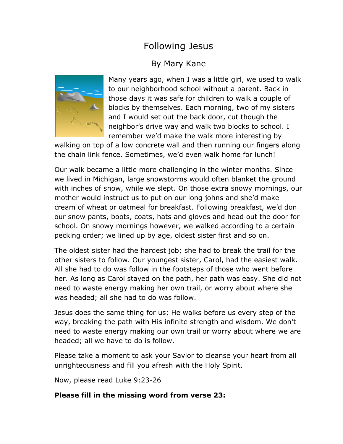# Following Jesus

## By Mary Kane



Many years ago, when I was a little girl, we used to walk to our neighborhood school without a parent. Back in those days it was safe for children to walk a couple of blocks by themselves. Each morning, two of my sisters and I would set out the back door, cut though the neighbor's drive way and walk two blocks to school. I remember we'd make the walk more interesting by

walking on top of a low concrete wall and then running our fingers along the chain link fence. Sometimes, we'd even walk home for lunch!

Our walk became a little more challenging in the winter months. Since we lived in Michigan, large snowstorms would often blanket the ground with inches of snow, while we slept. On those extra snowy mornings, our mother would instruct us to put on our long johns and she'd make cream of wheat or oatmeal for breakfast. Following breakfast, we'd don our snow pants, boots, coats, hats and gloves and head out the door for school. On snowy mornings however, we walked according to a certain pecking order; we lined up by age, oldest sister first and so on.

The oldest sister had the hardest job; she had to break the trail for the other sisters to follow. Our youngest sister, Carol, had the easiest walk. All she had to do was follow in the footsteps of those who went before her. As long as Carol stayed on the path, her path was easy. She did not need to waste energy making her own trail, or worry about where she was headed; all she had to do was follow.

Jesus does the same thing for us; He walks before us every step of the way, breaking the path with His infinite strength and wisdom. We don't need to waste energy making our own trail or worry about where we are headed; all we have to do is follow.

Please take a moment to ask your Savior to cleanse your heart from all unrighteousness and fill you afresh with the Holy Spirit.

Now, please read Luke 9:23-26

#### **Please fill in the missing word from verse 23:**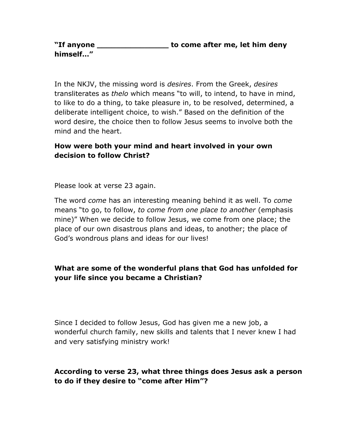**"If anyone \_\_\_\_\_\_\_\_\_\_\_\_\_\_\_ to come after me, let him deny himself…"**

In the NKJV, the missing word is *desires*. From the Greek, *desires* transliterates as *thelo* which means "to will, to intend, to have in mind, to like to do a thing, to take pleasure in, to be resolved, determined, a deliberate intelligent choice, to wish." Based on the definition of the word desire, the choice then to follow Jesus seems to involve both the mind and the heart.

## **How were both your mind and heart involved in your own decision to follow Christ?**

Please look at verse 23 again.

The word *come* has an interesting meaning behind it as well. To *come* means "to go, to follow, *to come from one place to another* (emphasis mine)" When we decide to follow Jesus, we come from one place; the place of our own disastrous plans and ideas, to another; the place of God's wondrous plans and ideas for our lives!

### **What are some of the wonderful plans that God has unfolded for your life since you became a Christian?**

Since I decided to follow Jesus, God has given me a new job, a wonderful church family, new skills and talents that I never knew I had and very satisfying ministry work!

## **According to verse 23, what three things does Jesus ask a person to do if they desire to "come after Him"?**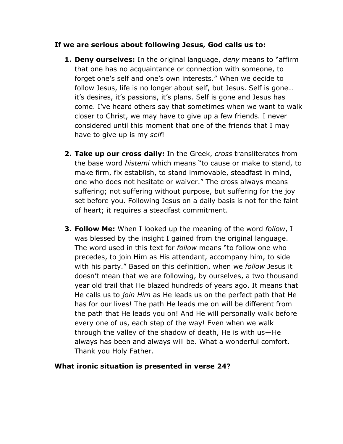#### **If we are serious about following Jesus, God calls us to:**

- **1. Deny ourselves:** In the original language, *deny* means to "affirm that one has no acquaintance or connection with someone, to forget one's self and one's own interests." When we decide to follow Jesus, life is no longer about self, but Jesus. Self is gone… it's desires, it's passions, it's plans. Self is gone and Jesus has come. I've heard others say that sometimes when we want to walk closer to Christ, we may have to give up a few friends. I never considered until this moment that one of the friends that I may have to give up is my *self*!
- **2. Take up our cross daily:** In the Greek, *cross* transliterates from the base word *histemi* which means "to cause or make to stand, to make firm, fix establish, to stand immovable, steadfast in mind, one who does not hesitate or waiver." The cross always means suffering; not suffering without purpose, but suffering for the joy set before you. Following Jesus on a daily basis is not for the faint of heart; it requires a steadfast commitment.
- **3. Follow Me:** When I looked up the meaning of the word *follow*, I was blessed by the insight I gained from the original language. The word used in this text for *follow* means "to follow one who precedes, to join Him as His attendant, accompany him, to side with his party." Based on this definition, when we *follow* Jesus it doesn't mean that we are following, by ourselves, a two thousand year old trail that He blazed hundreds of years ago. It means that He calls us to *join Him* as He leads us on the perfect path that He has for our lives! The path He leads me on will be different from the path that He leads you on! And He will personally walk before every one of us, each step of the way! Even when we walk through the valley of the shadow of death, He is with us—He always has been and always will be. What a wonderful comfort. Thank you Holy Father.

#### **What ironic situation is presented in verse 24?**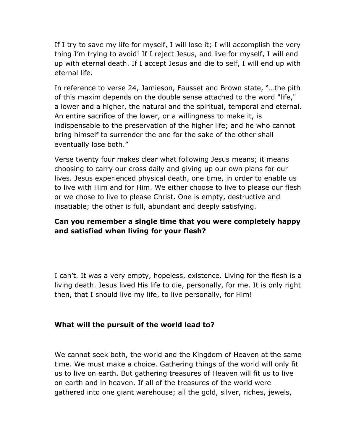If I try to save my life for myself, I will lose it; I will accomplish the very thing I'm trying to avoid! If I reject Jesus, and live for myself, I will end up with eternal death. If I accept Jesus and die to self, I will end up with eternal life.

In reference to verse 24, Jamieson, Fausset and Brown state, "…the pith of this maxim depends on the double sense attached to the word "life," a lower and a higher, the natural and the spiritual, temporal and eternal. An entire sacrifice of the lower, or a willingness to make it, is indispensable to the preservation of the higher life; and he who cannot bring himself to surrender the one for the sake of the other shall eventually lose both."

Verse twenty four makes clear what following Jesus means; it means choosing to carry our cross daily and giving up our own plans for our lives. Jesus experienced physical death, one time, in order to enable us to live with Him and for Him. We either choose to live to please our flesh or we chose to live to please Christ. One is empty, destructive and insatiable; the other is full, abundant and deeply satisfying.

## **Can you remember a single time that you were completely happy and satisfied when living for your flesh?**

I can't. It was a very empty, hopeless, existence. Living for the flesh is a living death. Jesus lived His life to die, personally, for me. It is only right then, that I should live my life, to live personally, for Him!

#### **What will the pursuit of the world lead to?**

We cannot seek both, the world and the Kingdom of Heaven at the same time. We must make a choice. Gathering things of the world will only fit us to live on earth. But gathering treasures of Heaven will fit us to live on earth and in heaven. If all of the treasures of the world were gathered into one giant warehouse; all the gold, silver, riches, jewels,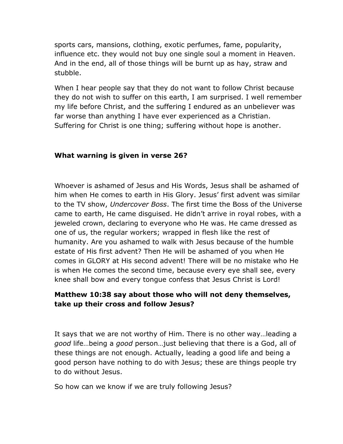sports cars, mansions, clothing, exotic perfumes, fame, popularity, influence etc. they would not buy one single soul a moment in Heaven. And in the end, all of those things will be burnt up as hay, straw and stubble.

When I hear people say that they do not want to follow Christ because they do not wish to suffer on this earth, I am surprised. I well remember my life before Christ, and the suffering I endured as an unbeliever was far worse than anything I have ever experienced as a Christian. Suffering for Christ is one thing; suffering without hope is another.

#### **What warning is given in verse 26?**

Whoever is ashamed of Jesus and His Words, Jesus shall be ashamed of him when He comes to earth in His Glory. Jesus' first advent was similar to the TV show, *Undercover Boss*. The first time the Boss of the Universe came to earth, He came disguised. He didn't arrive in royal robes, with a jeweled crown, declaring to everyone who He was. He came dressed as one of us, the regular workers; wrapped in flesh like the rest of humanity. Are you ashamed to walk with Jesus because of the humble estate of His first advent? Then He will be ashamed of you when He comes in GLORY at His second advent! There will be no mistake who He is when He comes the second time, because every eye shall see, every knee shall bow and every tongue confess that Jesus Christ is Lord!

#### **Matthew 10:38 say about those who will not deny themselves, take up their cross and follow Jesus?**

It says that we are not worthy of Him. There is no other way…leading a *good* life…being a *good* person…just believing that there is a God, all of these things are not enough. Actually, leading a good life and being a good person have nothing to do with Jesus; these are things people try to do without Jesus.

So how can we know if we are truly following Jesus?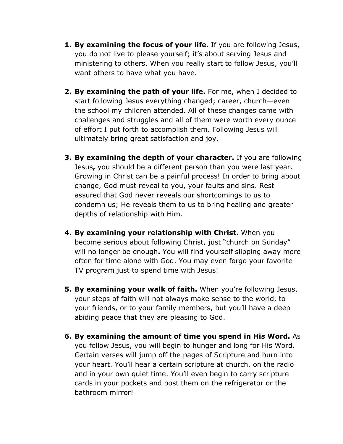- **1. By examining the focus of your life.** If you are following Jesus, you do not live to please yourself; it's about serving Jesus and ministering to others. When you really start to follow Jesus, you'll want others to have what you have.
- **2. By examining the path of your life.** For me, when I decided to start following Jesus everything changed; career, church—even the school my children attended. All of these changes came with challenges and struggles and all of them were worth every ounce of effort I put forth to accomplish them. Following Jesus will ultimately bring great satisfaction and joy.
- **3. By examining the depth of your character.** If you are following Jesus**,** you should be a different person than you were last year. Growing in Christ can be a painful process! In order to bring about change, God must reveal to you, your faults and sins. Rest assured that God never reveals our shortcomings to us to condemn us; He reveals them to us to bring healing and greater depths of relationship with Him.
- **4. By examining your relationship with Christ.** When you become serious about following Christ, just "church on Sunday" will no longer be enough**.** You will find yourself slipping away more often for time alone with God. You may even forgo your favorite TV program just to spend time with Jesus!
- **5. By examining your walk of faith.** When you're following Jesus, your steps of faith will not always make sense to the world, to your friends, or to your family members, but you'll have a deep abiding peace that they are pleasing to God.
- **6. By examining the amount of time you spend in His Word.** As you follow Jesus, you will begin to hunger and long for His Word. Certain verses will jump off the pages of Scripture and burn into your heart. You'll hear a certain scripture at church, on the radio and in your own quiet time. You'll even begin to carry scripture cards in your pockets and post them on the refrigerator or the bathroom mirror!